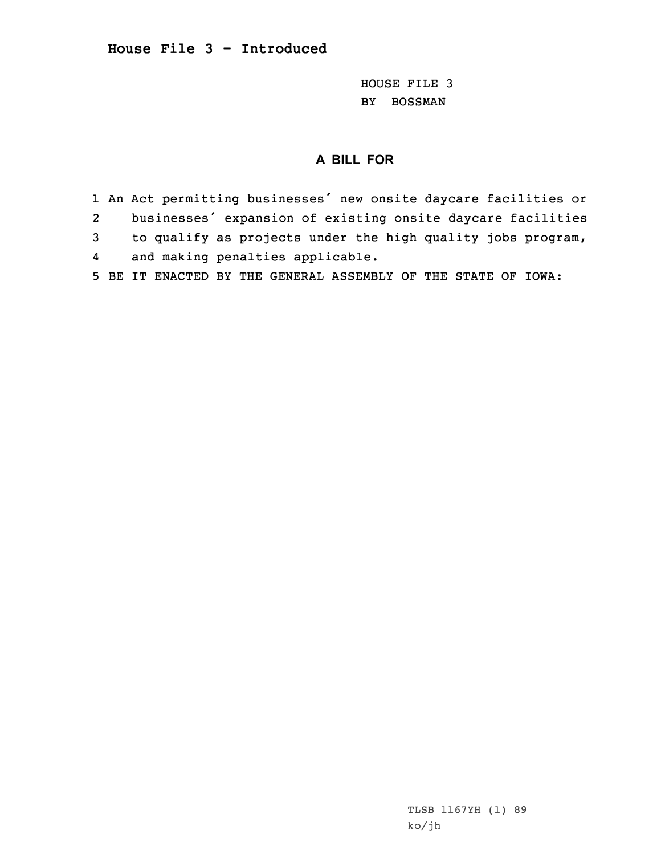## **House File 3 - Introduced**

HOUSE FILE 3 BY BOSSMAN

## **A BILL FOR**

1 An Act permitting businesses' new onsite daycare facilities or 2 businesses' expansion of existing onsite daycare facilities 3 to qualify as projects under the high quality jobs program, 4and making penalties applicable.

5 BE IT ENACTED BY THE GENERAL ASSEMBLY OF THE STATE OF IOWA:

TLSB 1167YH (1) 89 ko/jh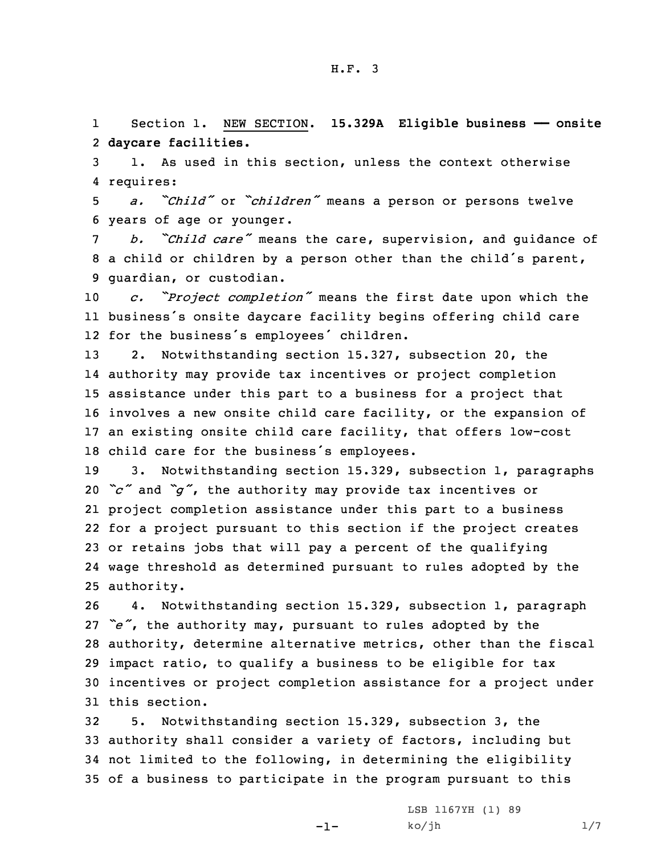1 Section 1. NEW SECTION. **15.329A Eligible business —— onsite** 2 **daycare facilities.**

3 1. As used in this section, unless the context otherwise 4 requires:

<sup>5</sup> *a. "Child"* or *"children"* means <sup>a</sup> person or persons twelve 6 years of age or younger.

<sup>7</sup> *b. "Child care"* means the care, supervision, and guidance of <sup>8</sup> <sup>a</sup> child or children by <sup>a</sup> person other than the child's parent, 9 guardian, or custodian.

<sup>10</sup> *c. "Project completion"* means the first date upon which the 11 business's onsite daycare facility begins offering child care 12 for the business's employees' children.

 2. Notwithstanding section 15.327, subsection 20, the authority may provide tax incentives or project completion assistance under this part to <sup>a</sup> business for <sup>a</sup> project that involves <sup>a</sup> new onsite child care facility, or the expansion of an existing onsite child care facility, that offers low-cost child care for the business's employees.

 3. Notwithstanding section 15.329, subsection 1, paragraphs *"c"* and *"g"*, the authority may provide tax incentives or project completion assistance under this part to <sup>a</sup> business for <sup>a</sup> project pursuant to this section if the project creates or retains jobs that will pay <sup>a</sup> percent of the qualifying wage threshold as determined pursuant to rules adopted by the authority.

 4. Notwithstanding section 15.329, subsection 1, paragraph *"e"*, the authority may, pursuant to rules adopted by the authority, determine alternative metrics, other than the fiscal impact ratio, to qualify <sup>a</sup> business to be eligible for tax incentives or project completion assistance for <sup>a</sup> project under this section.

 5. Notwithstanding section 15.329, subsection 3, the authority shall consider <sup>a</sup> variety of factors, including but not limited to the following, in determining the eligibility of <sup>a</sup> business to participate in the program pursuant to this

-1-

LSB 1167YH (1) 89  $ko/jh$  1/7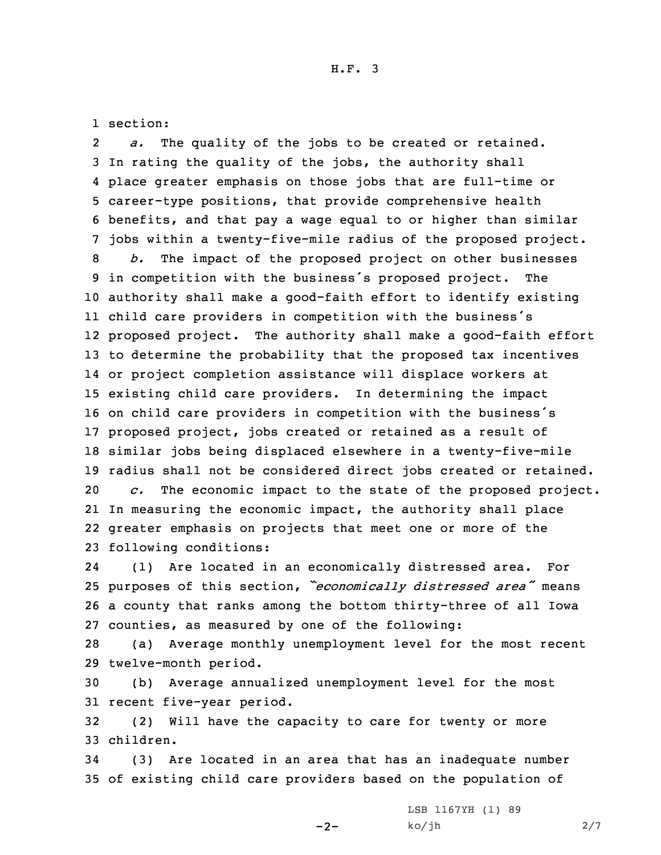1 section:

2 *a.* The quality of the jobs to be created or retained. In rating the quality of the jobs, the authority shall place greater emphasis on those jobs that are full-time or career-type positions, that provide comprehensive health benefits, and that pay <sup>a</sup> wage equal to or higher than similar jobs within <sup>a</sup> twenty-five-mile radius of the proposed project. *b.* The impact of the proposed project on other businesses in competition with the business's proposed project. The authority shall make <sup>a</sup> good-faith effort to identify existing child care providers in competition with the business's proposed project. The authority shall make <sup>a</sup> good-faith effort to determine the probability that the proposed tax incentives or project completion assistance will displace workers at existing child care providers. In determining the impact on child care providers in competition with the business's proposed project, jobs created or retained as <sup>a</sup> result of similar jobs being displaced elsewhere in <sup>a</sup> twenty-five-mile radius shall not be considered direct jobs created or retained. *c.* The economic impact to the state of the proposed project. In measuring the economic impact, the authority shall place greater emphasis on projects that meet one or more of the following conditions:

24 (1) Are located in an economically distressed area. For <sup>25</sup> purposes of this section, *"economically distressed area"* means 26 <sup>a</sup> county that ranks among the bottom thirty-three of all Iowa 27 counties, as measured by one of the following:

28 (a) Average monthly unemployment level for the most recent 29 twelve-month period.

30 (b) Average annualized unemployment level for the most 31 recent five-year period.

32 (2) Will have the capacity to care for twenty or more 33 children.

34 (3) Are located in an area that has an inadequate number 35 of existing child care providers based on the population of

 $-2-$ 

LSB 1167YH (1) 89  $ko/jh$  2/7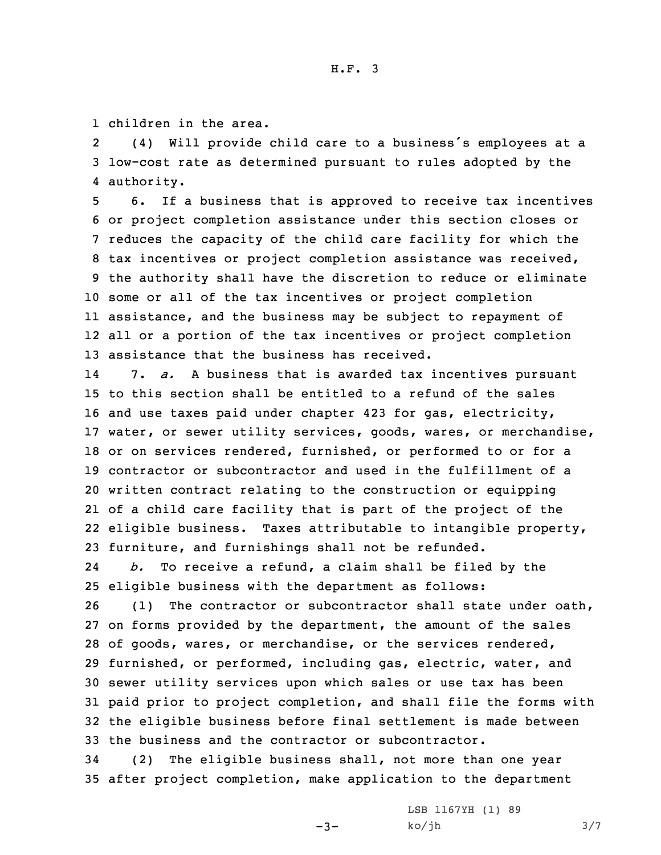1 children in the area.

2 (4) Will provide child care to <sup>a</sup> business's employees at <sup>a</sup> 3 low-cost rate as determined pursuant to rules adopted by the 4 authority.

 6. If <sup>a</sup> business that is approved to receive tax incentives or project completion assistance under this section closes or reduces the capacity of the child care facility for which the tax incentives or project completion assistance was received, the authority shall have the discretion to reduce or eliminate some or all of the tax incentives or project completion assistance, and the business may be subject to repayment of all or <sup>a</sup> portion of the tax incentives or project completion assistance that the business has received.

14 7. *a.* <sup>A</sup> business that is awarded tax incentives pursuant to this section shall be entitled to <sup>a</sup> refund of the sales and use taxes paid under chapter 423 for gas, electricity, water, or sewer utility services, goods, wares, or merchandise, or on services rendered, furnished, or performed to or for <sup>a</sup> contractor or subcontractor and used in the fulfillment of <sup>a</sup> written contract relating to the construction or equipping of <sup>a</sup> child care facility that is part of the project of the 22 eligible business. Taxes attributable to intangible property, furniture, and furnishings shall not be refunded.

24 *b.* To receive <sup>a</sup> refund, <sup>a</sup> claim shall be filed by the 25 eligible business with the department as follows:

 (1) The contractor or subcontractor shall state under oath, on forms provided by the department, the amount of the sales of goods, wares, or merchandise, or the services rendered, furnished, or performed, including gas, electric, water, and sewer utility services upon which sales or use tax has been paid prior to project completion, and shall file the forms with the eligible business before final settlement is made between the business and the contractor or subcontractor.

34 (2) The eligible business shall, not more than one year 35 after project completion, make application to the department

 $-3-$ 

LSB 1167YH (1) 89  $ko/jh$  3/7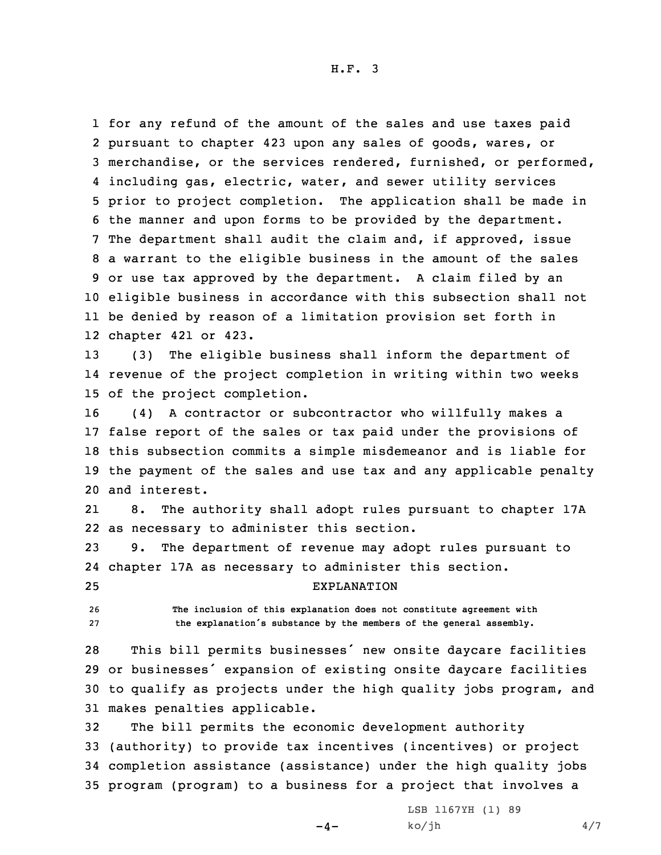H.F. 3

 for any refund of the amount of the sales and use taxes paid pursuant to chapter 423 upon any sales of goods, wares, or merchandise, or the services rendered, furnished, or performed, including gas, electric, water, and sewer utility services prior to project completion. The application shall be made in the manner and upon forms to be provided by the department. The department shall audit the claim and, if approved, issue <sup>a</sup> warrant to the eligible business in the amount of the sales or use tax approved by the department. <sup>A</sup> claim filed by an eligible business in accordance with this subsection shall not be denied by reason of <sup>a</sup> limitation provision set forth in chapter 421 or 423.

13 (3) The eligible business shall inform the department of 14 revenue of the project completion in writing within two weeks 15 of the project completion.

 (4) <sup>A</sup> contractor or subcontractor who willfully makes <sup>a</sup> false report of the sales or tax paid under the provisions of this subsection commits <sup>a</sup> simple misdemeanor and is liable for the payment of the sales and use tax and any applicable penalty and interest.

21 8. The authority shall adopt rules pursuant to chapter 17A 22 as necessary to administer this section.

23 9. The department of revenue may adopt rules pursuant to 24 chapter 17A as necessary to administer this section. 25 EXPLANATION

26 **The inclusion of this explanation does not constitute agreement with** <sup>27</sup> **the explanation's substance by the members of the general assembly.**

 This bill permits businesses' new onsite daycare facilities or businesses' expansion of existing onsite daycare facilities to qualify as projects under the high quality jobs program, and makes penalties applicable.

 The bill permits the economic development authority (authority) to provide tax incentives (incentives) or project completion assistance (assistance) under the high quality jobs program (program) to <sup>a</sup> business for <sup>a</sup> project that involves <sup>a</sup>

 $-4-$ 

LSB 1167YH (1) 89  $ko/jh$  4/7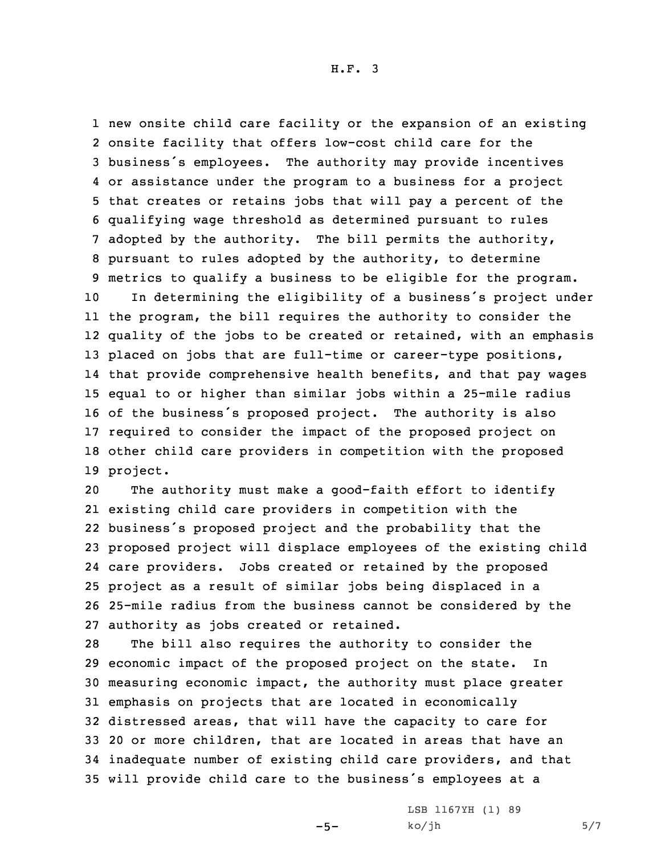H.F. 3

 new onsite child care facility or the expansion of an existing onsite facility that offers low-cost child care for the business's employees. The authority may provide incentives or assistance under the program to <sup>a</sup> business for <sup>a</sup> project that creates or retains jobs that will pay <sup>a</sup> percent of the qualifying wage threshold as determined pursuant to rules adopted by the authority. The bill permits the authority, pursuant to rules adopted by the authority, to determine metrics to qualify <sup>a</sup> business to be eligible for the program. In determining the eligibility of <sup>a</sup> business's project under the program, the bill requires the authority to consider the

 quality of the jobs to be created or retained, with an emphasis 13 placed on jobs that are full-time or career-type positions, that provide comprehensive health benefits, and that pay wages equal to or higher than similar jobs within <sup>a</sup> 25-mile radius of the business's proposed project. The authority is also required to consider the impact of the proposed project on other child care providers in competition with the proposed 19 project.

 The authority must make <sup>a</sup> good-faith effort to identify existing child care providers in competition with the business's proposed project and the probability that the proposed project will displace employees of the existing child care providers. Jobs created or retained by the proposed project as <sup>a</sup> result of similar jobs being displaced in <sup>a</sup> 25-mile radius from the business cannot be considered by the authority as jobs created or retained.

 The bill also requires the authority to consider the economic impact of the proposed project on the state. In measuring economic impact, the authority must place greater emphasis on projects that are located in economically distressed areas, that will have the capacity to care for 20 or more children, that are located in areas that have an inadequate number of existing child care providers, and that will provide child care to the business's employees at <sup>a</sup>

 $-5-$ 

LSB 1167YH (1) 89  $ko/jh$  5/7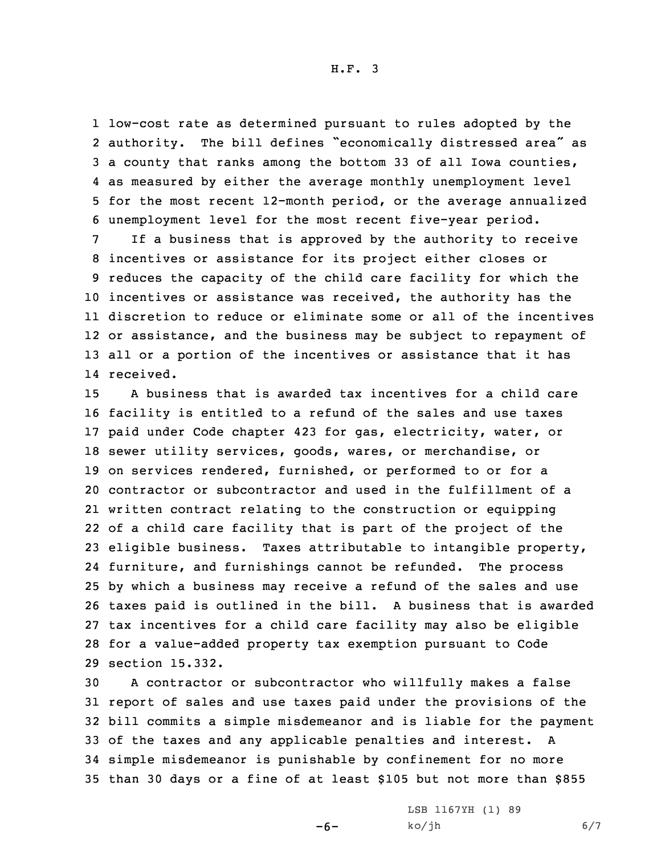H.F. 3

 low-cost rate as determined pursuant to rules adopted by the authority. The bill defines "economically distressed area" as <sup>a</sup> county that ranks among the bottom 33 of all Iowa counties, as measured by either the average monthly unemployment level for the most recent 12-month period, or the average annualized unemployment level for the most recent five-year period.

 If <sup>a</sup> business that is approved by the authority to receive incentives or assistance for its project either closes or reduces the capacity of the child care facility for which the incentives or assistance was received, the authority has the discretion to reduce or eliminate some or all of the incentives or assistance, and the business may be subject to repayment of all or <sup>a</sup> portion of the incentives or assistance that it has received.

 A business that is awarded tax incentives for <sup>a</sup> child care facility is entitled to <sup>a</sup> refund of the sales and use taxes paid under Code chapter 423 for gas, electricity, water, or sewer utility services, goods, wares, or merchandise, or on services rendered, furnished, or performed to or for <sup>a</sup> contractor or subcontractor and used in the fulfillment of <sup>a</sup> written contract relating to the construction or equipping of <sup>a</sup> child care facility that is part of the project of the eligible business. Taxes attributable to intangible property, furniture, and furnishings cannot be refunded. The process by which <sup>a</sup> business may receive <sup>a</sup> refund of the sales and use taxes paid is outlined in the bill. <sup>A</sup> business that is awarded tax incentives for <sup>a</sup> child care facility may also be eligible for <sup>a</sup> value-added property tax exemption pursuant to Code section 15.332.

 <sup>A</sup> contractor or subcontractor who willfully makes <sup>a</sup> false report of sales and use taxes paid under the provisions of the bill commits <sup>a</sup> simple misdemeanor and is liable for the payment of the taxes and any applicable penalties and interest. <sup>A</sup> simple misdemeanor is punishable by confinement for no more than 30 days or <sup>a</sup> fine of at least \$105 but not more than \$855

 $-6-$ 

LSB 1167YH (1) 89  $ko/jh$  6/7